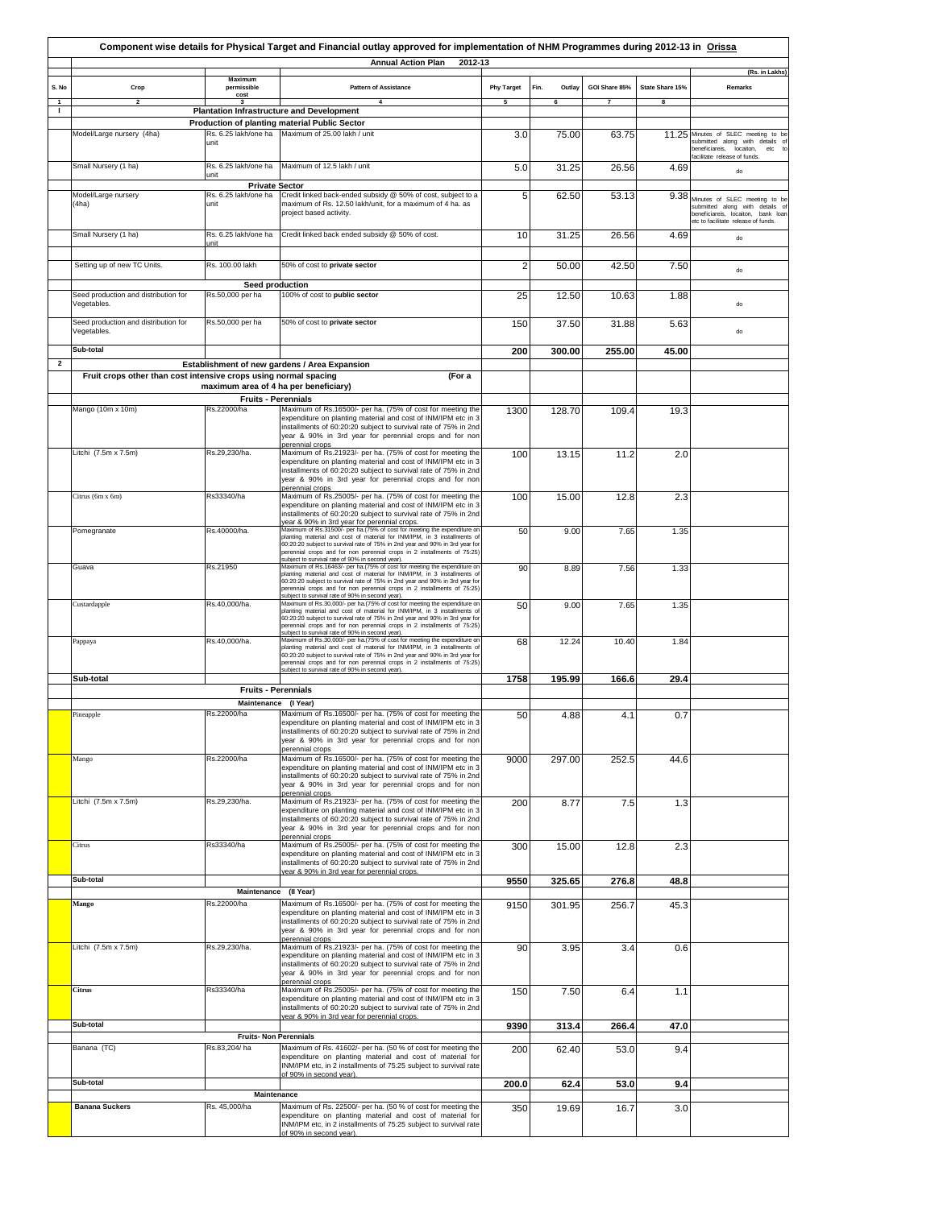|                    | Component wise details for Physical Target and Financial outlay approved for implementation of NHM Programmes during 2012-13 in Orissa<br><b>Annual Action Plan</b><br>2012-13 |                                                       |                                                                                                                                                                                                                                                                                                                                                                                                                                                |                   |                |               |                 |                                                                                                                                              |
|--------------------|--------------------------------------------------------------------------------------------------------------------------------------------------------------------------------|-------------------------------------------------------|------------------------------------------------------------------------------------------------------------------------------------------------------------------------------------------------------------------------------------------------------------------------------------------------------------------------------------------------------------------------------------------------------------------------------------------------|-------------------|----------------|---------------|-----------------|----------------------------------------------------------------------------------------------------------------------------------------------|
| S. No              | Crop                                                                                                                                                                           | Maximum<br>permissible<br>cost                        | <b>Pattern of Assistance</b>                                                                                                                                                                                                                                                                                                                                                                                                                   | <b>Phy Target</b> | Fin.<br>Outlay | GOI Share 85% | State Share 15% | (Rs. in Lakhs)<br>Remarks                                                                                                                    |
| $\mathbf{1}$<br>-1 | $\overline{2}$                                                                                                                                                                 |                                                       | $\overline{4}$<br><b>Plantation Infrastructure and Development</b>                                                                                                                                                                                                                                                                                                                                                                             | 5                 | 6              |               |                 |                                                                                                                                              |
|                    |                                                                                                                                                                                |                                                       | Production of planting material Public Sector                                                                                                                                                                                                                                                                                                                                                                                                  |                   |                |               |                 |                                                                                                                                              |
|                    | Model/Large nursery (4ha)                                                                                                                                                      | unit                                                  | Rs. 6.25 lakh/one ha Maximum of 25.00 lakh / unit                                                                                                                                                                                                                                                                                                                                                                                              | 3.0               | 75.00          | 63.75         |                 | 11.25 Minutes of SLEC meeting to be<br>submitted along with details<br>beneficiareis, locaiton,<br>$\rm etc$<br>facilitate release of funds. |
|                    | Small Nursery (1 ha)                                                                                                                                                           | Rs. 6.25 lakh/one ha<br>unit                          | Maximum of 12.5 lakh / unit                                                                                                                                                                                                                                                                                                                                                                                                                    | 5.0               | 31.25          | 26.56         | 4.69            | do                                                                                                                                           |
|                    | Model/Large nursery<br>(4ha)                                                                                                                                                   | <b>Private Sector</b><br>Rs. 6.25 lakh/one ha<br>unit | Credit linked back-ended subsidy @ 50% of cost, subject to a<br>maximum of Rs. 12.50 lakh/unit, for a maximum of 4 ha. as<br>project based activity.                                                                                                                                                                                                                                                                                           | 5                 | 62.50          | 53.13         | 9.38            | Minutes of SLEC meeting to be<br>submitted along with details<br>beneficiareis, locaiton, bank loar<br>etc to facilitate release of funds.   |
|                    | Small Nursery (1 ha)                                                                                                                                                           | Rs. 6.25 lakh/one ha<br>unit                          | Credit linked back ended subsidy @ 50% of cost.                                                                                                                                                                                                                                                                                                                                                                                                | 10                | 31.25          | 26.56         | 4.69            | do                                                                                                                                           |
|                    | Setting up of new TC Units.                                                                                                                                                    | Rs. 100.00 lakh                                       | 50% of cost to private sector                                                                                                                                                                                                                                                                                                                                                                                                                  | $\overline{2}$    | 50.00          | 42.50         | 7.50            | do                                                                                                                                           |
|                    | Seed production and distribution for<br>Vegetables.                                                                                                                            | Seed production<br>Rs.50,000 per ha                   | 100% of cost to public sector                                                                                                                                                                                                                                                                                                                                                                                                                  | 25                | 12.50          | 10.63         | 1.88            | do                                                                                                                                           |
|                    | Seed production and distribution for<br>Vegetables.                                                                                                                            | Rs.50,000 per ha                                      | 50% of cost to private sector                                                                                                                                                                                                                                                                                                                                                                                                                  | 150               | 37.50          | 31.88         | 5.63            | do                                                                                                                                           |
|                    | Sub-total                                                                                                                                                                      |                                                       |                                                                                                                                                                                                                                                                                                                                                                                                                                                | 200               | 300.00         | 255.00        | 45.00           |                                                                                                                                              |
| $\mathbf{2}$       |                                                                                                                                                                                |                                                       | Establishment of new gardens / Area Expansion                                                                                                                                                                                                                                                                                                                                                                                                  |                   |                |               |                 |                                                                                                                                              |
|                    | Fruit crops other than cost intensive crops using normal spacing                                                                                                               |                                                       | (For a                                                                                                                                                                                                                                                                                                                                                                                                                                         |                   |                |               |                 |                                                                                                                                              |
|                    |                                                                                                                                                                                | maximum area of 4 ha per beneficiary)                 |                                                                                                                                                                                                                                                                                                                                                                                                                                                |                   |                |               |                 |                                                                                                                                              |
|                    | Mango (10m x 10m)                                                                                                                                                              | <b>Fruits - Perennials</b><br>Rs.22000/ha             | Maximum of Rs.16500/- per ha. (75% of cost for meeting the<br>expenditure on planting material and cost of INM/IPM etc in 3<br>installments of 60:20:20 subject to survival rate of 75% in 2nd<br>year & 90% in 3rd year for perennial crops and for non                                                                                                                                                                                       | 1300              | 128.70         | 109.4         | 19.3            |                                                                                                                                              |
|                    | Litchi (7.5m x 7.5m)                                                                                                                                                           | Rs.29,230/ha.                                         | perennial crops<br>Maximum of Rs.21923/- per ha. (75% of cost for meeting the<br>expenditure on planting material and cost of INM/IPM etc in 3<br>installments of 60:20:20 subject to survival rate of 75% in 2nd<br>year & 90% in 3rd year for perennial crops and for non<br>perennial crops                                                                                                                                                 | 100               | 13.15          | 11.2          | 2.0             |                                                                                                                                              |
|                    | Citrus (6m x 6m)                                                                                                                                                               | Rs33340/ha                                            | Maximum of Rs.25005/- per ha. (75% of cost for meeting the<br>expenditure on planting material and cost of INM/IPM etc in 3<br>installments of 60:20:20 subject to survival rate of 75% in 2nd                                                                                                                                                                                                                                                 | 100               | 15.00          | 12.8          | 2.3             |                                                                                                                                              |
|                    | Pomegranate                                                                                                                                                                    | Rs.40000/ha.                                          | year & 90% in 3rd year for perennial crops.<br>Maximum of Rs.31500/- per ha.(75% of cost for meeting the expenditure on<br>planting material and cost of material for INM/IPM, in 3 installments of<br>60:20:20 subject to survival rate of 75% in 2nd year and 90% in 3rd year for                                                                                                                                                            | 50                | 9.00           | 7.65          | 1.35            |                                                                                                                                              |
|                    | Guava                                                                                                                                                                          | Rs.21950                                              | perennial crops and for non perennial crops in 2 installments of 75:25)<br>subject to survival rate of 90% in second year).<br>Maximum of Rs.16463/- per ha.(75% of cost for meeting the expenditure on<br>planting material and cost of material for INM/IPM, in 3 installments of<br>60:20:20 subject to survival rate of 75% in 2nd year and 90% in 3rd year for<br>perennial crops and for non perennial crops in 2 installments of 75:25) | 90                | 8.89           | 7.56          | 1.33            |                                                                                                                                              |
|                    | Custardapple                                                                                                                                                                   | Rs.40,000/ha.                                         | subject to survival rate of 90% in second year).<br>Maximum of Rs.30,000/- per ha.(75% of cost for meeting the expenditure on<br>planting material and cost of material for INM/IPM, in 3 installments of<br>60:20:20 subject to survival rate of 75% in 2nd year and 90% in 3rd year for<br>perennial crops and for non perennial crops in 2 installments of 75:25)<br>subject to survival rate of 90% in second year).                       | 50                | 9.00           | 7.65          | 1.35            |                                                                                                                                              |
|                    | Pappaya                                                                                                                                                                        | Rs.40,000/ha.                                         | Maximum of Rs.30,000/- per ha.(75% of cost for meeting the expenditure on<br>planting material and cost of material for INM/IPM, in 3 installments of<br>60:20:20 subject to survival rate of 75% in 2nd year and 90% in 3rd year for<br>perennial crops and for non perennial crops in 2 installments of 75:25)<br>subject to survival rate of 90% in second year).                                                                           | 68                | 12.24          | 10.40         | 1.84            |                                                                                                                                              |
|                    | Sub-total                                                                                                                                                                      |                                                       |                                                                                                                                                                                                                                                                                                                                                                                                                                                | 1758              | 195.99         | 166.6         | 29.4            |                                                                                                                                              |
|                    |                                                                                                                                                                                | <b>Fruits - Perennials</b>                            |                                                                                                                                                                                                                                                                                                                                                                                                                                                |                   |                |               |                 |                                                                                                                                              |
|                    |                                                                                                                                                                                | Maintenance (I Year)<br>Rs.22000/ha                   | Maximum of Rs.16500/- per ha. (75% of cost for meeting the                                                                                                                                                                                                                                                                                                                                                                                     |                   |                |               |                 |                                                                                                                                              |
|                    | Pineapple                                                                                                                                                                      |                                                       | expenditure on planting material and cost of INM/IPM etc in 3<br>installments of 60:20:20 subject to survival rate of 75% in 2nd<br>year & 90% in 3rd year for perennial crops and for non<br>perennial crops                                                                                                                                                                                                                                  | 50                | 4.88           | 4.1           | 0.7             |                                                                                                                                              |
|                    | Mango                                                                                                                                                                          | Rs.22000/ha                                           | Maximum of Rs.16500/- per ha. (75% of cost for meeting the<br>expenditure on planting material and cost of INM/IPM etc in 3<br>installments of 60:20:20 subject to survival rate of 75% in 2nd<br>year & 90% in 3rd year for perennial crops and for non<br>perennial crops                                                                                                                                                                    | 9000              | 297.00         | 252.5         | 44.6            |                                                                                                                                              |
|                    | Litchi (7.5m x 7.5m)                                                                                                                                                           | Rs.29.230/ha.                                         | Maximum of Rs.21923/- per ha. (75% of cost for meeting the<br>expenditure on planting material and cost of INM/IPM etc in 3<br>installments of 60:20:20 subject to survival rate of 75% in 2nd<br>year & 90% in 3rd year for perennial crops and for non                                                                                                                                                                                       | 200               | 8.77           | 7.5           | 1.3             |                                                                                                                                              |
|                    | Citrus                                                                                                                                                                         | Rs33340/ha                                            | perennial crops<br>Maximum of Rs.25005/- per ha. (75% of cost for meeting the<br>expenditure on planting material and cost of INM/IPM etc in 3<br>installments of 60:20:20 subject to survival rate of 75% in 2nd                                                                                                                                                                                                                              | 300               | 15.00          | 12.8          | 2.3             |                                                                                                                                              |
|                    | Sub-total                                                                                                                                                                      |                                                       | year & 90% in 3rd year for perennial crops.                                                                                                                                                                                                                                                                                                                                                                                                    | 9550              | 325.65         | 276.8         | 48.8            |                                                                                                                                              |
|                    | Mango                                                                                                                                                                          | Maintenance (II Year)<br>Rs.22000/ha                  | Maximum of Rs.16500/- per ha. (75% of cost for meeting the<br>expenditure on planting material and cost of INM/IPM etc in 3<br>installments of 60:20:20 subject to survival rate of 75% in 2nd<br>year & 90% in 3rd year for perennial crops and for non                                                                                                                                                                                       | 9150              | 301.95         | 256.7         | 45.3            |                                                                                                                                              |
|                    | Litchi (7.5m x 7.5m)                                                                                                                                                           | Rs.29,230/ha.                                         | perennial crops<br>Maximum of Rs.21923/- per ha. (75% of cost for meeting the<br>expenditure on planting material and cost of INM/IPM etc in 3<br>installments of 60:20:20 subject to survival rate of 75% in 2nd<br>year & 90% in 3rd year for perennial crops and for non<br>perennial crops                                                                                                                                                 | 90                | 3.95           | 3.4           | 0.6             |                                                                                                                                              |
|                    | Citrus<br>Sub-total                                                                                                                                                            | Rs33340/ha                                            | Maximum of Rs.25005/- per ha. (75% of cost for meeting the<br>expenditure on planting material and cost of INM/IPM etc in 3<br>installments of 60:20:20 subject to survival rate of 75% in 2nd<br>year & 90% in 3rd year for perennial crops.                                                                                                                                                                                                  | 150<br>9390       | 7.50<br>313.4  | 6.4<br>266.4  | 1.1<br>47.0     |                                                                                                                                              |
|                    |                                                                                                                                                                                | <b>Fruits-Non Perennials</b>                          |                                                                                                                                                                                                                                                                                                                                                                                                                                                |                   |                |               |                 |                                                                                                                                              |
|                    | Banana (TC)                                                                                                                                                                    | Rs.83,204/ha                                          | Maximum of Rs. 41602/- per ha. (50 % of cost for meeting the<br>expenditure on planting material and cost of material for<br>INM/IPM etc, in 2 installments of 75:25 subject to survival rate<br>of 90% in second year).                                                                                                                                                                                                                       | 200               | 62.40          | 53.0          | 9.4             |                                                                                                                                              |
|                    | Sub-total                                                                                                                                                                      | Maintenance                                           |                                                                                                                                                                                                                                                                                                                                                                                                                                                | 200.0             | 62.4           | 53.0          | 9.4             |                                                                                                                                              |
|                    | <b>Banana Suckers</b>                                                                                                                                                          | Rs. 45,000/ha                                         | Maximum of Rs. 22500/- per ha. (50 % of cost for meeting the<br>expenditure on planting material and cost of material for<br>INM/IPM etc, in 2 installments of 75:25 subject to survival rate<br>of 90% in second year).                                                                                                                                                                                                                       | 350               | 19.69          | 16.7          | 3.0             |                                                                                                                                              |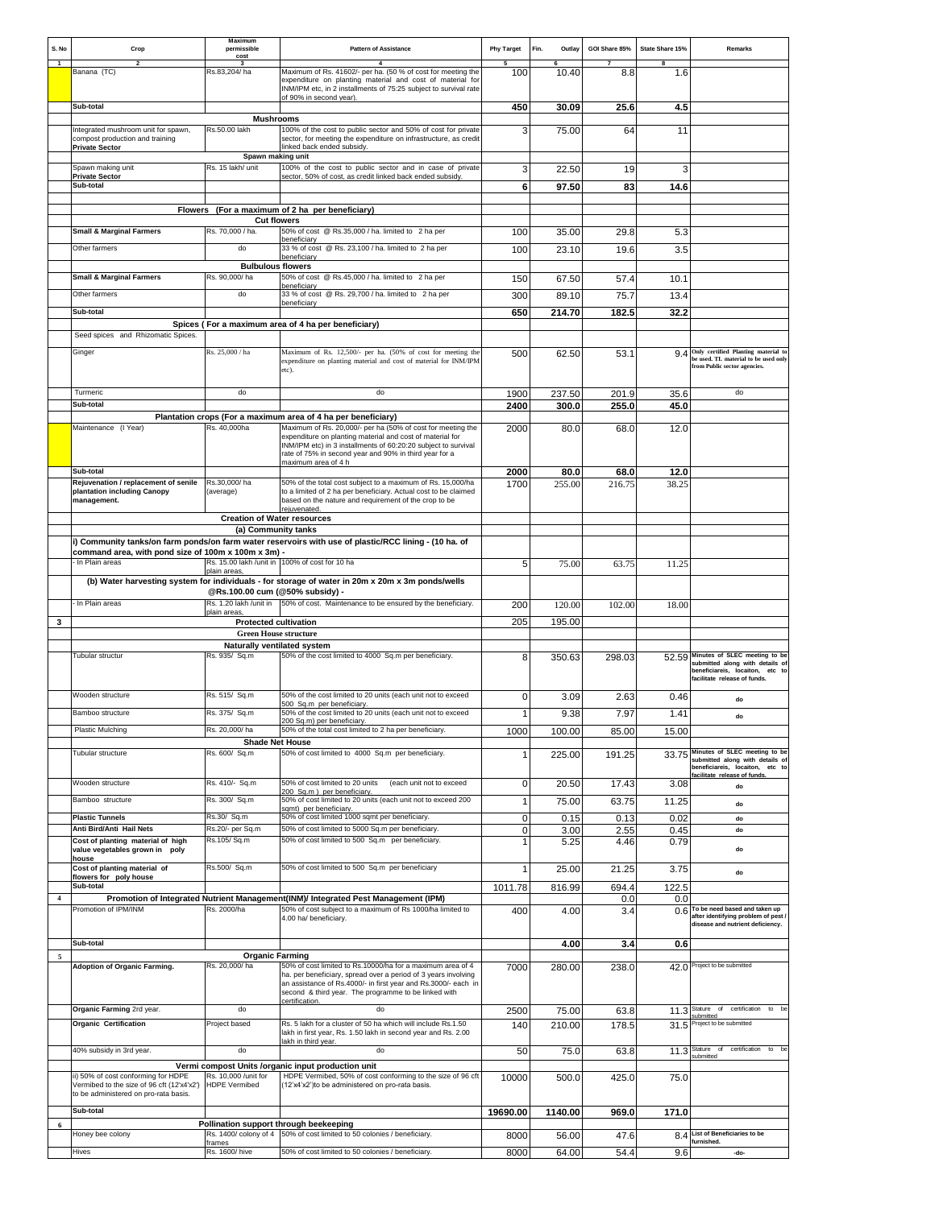| S. No                   | Crop                                                                                | Maximum<br>permissible<br>cost                               | <b>Pattern of Assistance</b><br>$\mathbf{A}$                                                                                                                                                                 | <b>Phy Target</b> | Fin.<br>Outlay | GOI Share 85%  | State Share 15%<br>8 | Remarks                                                                                                         |
|-------------------------|-------------------------------------------------------------------------------------|--------------------------------------------------------------|--------------------------------------------------------------------------------------------------------------------------------------------------------------------------------------------------------------|-------------------|----------------|----------------|----------------------|-----------------------------------------------------------------------------------------------------------------|
| -1                      | Banana (TC)                                                                         | Rs.83,204/ha                                                 | Maximum of Rs. 41602/- per ha. (50 % of cost for meeting the<br>expenditure on planting material and cost of material for<br>INM/IPM etc, in 2 installments of 75:25 subject to survival rate                | 100               | 10.40          | 8.8            | 1.6                  |                                                                                                                 |
|                         | Sub-total                                                                           |                                                              | of 90% in second vear).                                                                                                                                                                                      | 450               | 30.09          | 25.6           | 4.5                  |                                                                                                                 |
|                         | Integrated mushroom unit for spawn,                                                 | <b>Mushrooms</b><br>Rs.50.00 lakh                            | 100% of the cost to public sector and 50% of cost for private                                                                                                                                                | 3                 | 75.00          | 64             | 11                   |                                                                                                                 |
|                         | compost production and training<br><b>Private Sector</b>                            | Spawn making unit                                            | sector, for meeting the expenditure on infrastructure, as credit<br>linked back ended subsidy.                                                                                                               |                   |                |                |                      |                                                                                                                 |
|                         | Spawn making unit<br><b>Private Sector</b>                                          | Rs. 15 lakh/ unit                                            | 100% of the cost to public sector and in case of private<br>sector, 50% of cost, as credit linked back ended subsidy.                                                                                        | 3                 | 22.50          | 19             | 3                    |                                                                                                                 |
|                         | Sub-total                                                                           |                                                              |                                                                                                                                                                                                              | 6                 | 97.50          | 83             | 14.6                 |                                                                                                                 |
|                         |                                                                                     | <b>Cut flowers</b>                                           | Flowers (For a maximum of 2 ha per beneficiary)                                                                                                                                                              |                   |                |                |                      |                                                                                                                 |
|                         | <b>Small &amp; Marginal Farmers</b>                                                 | Rs. 70,000 / ha.                                             | 50% of cost @ Rs.35,000 / ha. limited to 2 ha per                                                                                                                                                            | 100               | 35.00          | 29.8           | 5.3                  |                                                                                                                 |
|                         | Other farmers                                                                       | do                                                           | beneficiary<br>33 % of cost @ Rs. 23,100 / ha. limited to 2 ha per<br>beneficiary                                                                                                                            | 100               | 23.10          | 19.6           | 3.5                  |                                                                                                                 |
|                         |                                                                                     | <b>Bulbulous flowers</b>                                     |                                                                                                                                                                                                              |                   |                |                |                      |                                                                                                                 |
|                         | <b>Small &amp; Marginal Farmers</b>                                                 | Rs. 90,000/ha                                                | 50% of cost @ Rs.45,000 / ha. limited to 2 ha per<br>beneficiary                                                                                                                                             | 150               | 67.50          | 57.4           | 10.1                 |                                                                                                                 |
|                         | Other farmers                                                                       | do                                                           | 33 % of cost @ Rs. 29,700 / ha. limited to 2 ha per<br>beneficiary                                                                                                                                           | 300               | 89.10          | 75.7           | 13.4                 |                                                                                                                 |
|                         | Sub-total                                                                           |                                                              | Spices (For a maximum area of 4 ha per beneficiary)                                                                                                                                                          | 650               | 214.70         | 182.5          | 32.2                 |                                                                                                                 |
|                         | Seed spices and Rhizomatic Spices.                                                  |                                                              |                                                                                                                                                                                                              |                   |                |                |                      |                                                                                                                 |
|                         | Ginger                                                                              | Rs. 25,000 / ha                                              | Maximum of Rs. 12,500/- per ha. (50% of cost for meeting the<br>expenditure on planting material and cost of material for INM/IPM<br>etc).                                                                   | 500               | 62.50          | 53.1           |                      | 9.4 Only certified Planting material to<br>be used. TL material to be used only<br>from Public sector agencies. |
|                         | Turmeric                                                                            | do                                                           | do                                                                                                                                                                                                           | 1900              | 237.50         | 201.9          | 35.6                 | do                                                                                                              |
|                         | Sub-total                                                                           |                                                              | Plantation crops (For a maximum area of 4 ha per beneficiary)                                                                                                                                                | 2400              | 300.0          | 255.0          | 45.0                 |                                                                                                                 |
|                         | Maintenance (I Year)                                                                | Rs. 40,000ha                                                 | Maximum of Rs. 20,000/- per ha (50% of cost for meeting the                                                                                                                                                  | 2000              | 80.0           | 68.0           | 12.0                 |                                                                                                                 |
|                         |                                                                                     |                                                              | expenditure on planting material and cost of material for<br>INM/IPM etc) in 3 installments of 60:20:20 subject to survival<br>rate of 75% in second year and 90% in third year for a<br>maximum area of 4 h |                   |                |                |                      |                                                                                                                 |
|                         | Sub-total<br>Rejuvenation / replacement of senile<br>plantation including Canopy    | Rs.30,000/ha<br>(average)                                    | 50% of the total cost subject to a maximum of Rs. 15,000/ha<br>to a limited of 2 ha per beneficiary. Actual cost to be claimed                                                                               | 2000<br>1700      | 80.0<br>255.00 | 68.0<br>216.75 | 12.0<br>38.25        |                                                                                                                 |
|                         | management.                                                                         |                                                              | based on the nature and requirement of the crop to be<br>rejuvenated                                                                                                                                         |                   |                |                |                      |                                                                                                                 |
|                         |                                                                                     | <b>Creation of Water resources</b><br>(a) Community tanks    |                                                                                                                                                                                                              |                   |                |                |                      |                                                                                                                 |
|                         |                                                                                     |                                                              | i) Community tanks/on farm ponds/on farm water reservoirs with use of plastic/RCC lining - (10 ha. of                                                                                                        |                   |                |                |                      |                                                                                                                 |
|                         | command area, with pond size of 100m x 100m x 3m) -<br>In Plain areas               |                                                              | Rs. 15.00 lakh /unit in 100% of cost for 10 ha                                                                                                                                                               | 5                 | 75.00          | 63.75          | 11.25                |                                                                                                                 |
|                         |                                                                                     | plain areas.                                                 | (b) Water harvesting system for individuals - for storage of water in 20m x 20m x 3m ponds/wells                                                                                                             |                   |                |                |                      |                                                                                                                 |
|                         | In Plain areas                                                                      | @Rs.100.00 cum (@50% subsidy) -                              | Rs. 1.20 lakh /unit in 50% of cost. Maintenance to be ensured by the beneficiary.                                                                                                                            |                   |                |                |                      |                                                                                                                 |
|                         |                                                                                     | plain areas                                                  |                                                                                                                                                                                                              | 200               | 120.00         | 102.00         | 18.00                |                                                                                                                 |
| 3                       |                                                                                     | <b>Protected cultivation</b><br><b>Green House structure</b> |                                                                                                                                                                                                              | 205               | 195.00         |                |                      |                                                                                                                 |
|                         |                                                                                     | Naturally ventilated system                                  |                                                                                                                                                                                                              |                   |                |                |                      | 52.59 Minutes of SLEC meeting to be                                                                             |
|                         | Tubular structur                                                                    | Rs. 935/ Sq.m                                                | 50% of the cost limited to 4000 Sq.m per beneficiary.                                                                                                                                                        | 8                 | 350.63         | 298.03         |                      | submitted along with details of<br>beneficiareis, locaiton, etc to<br>facilitate release of funds.              |
|                         | Wooden structure                                                                    | Rs. 515/ Sq.m                                                | 50% of the cost limited to 20 units (each unit not to exceed<br>500 Sq.m per beneficiary.                                                                                                                    | 0                 | 3.09           | 2.63           | 0.46                 | do                                                                                                              |
|                         | Bamboo structure                                                                    | Rs. 375/ Sq.m                                                | 50% of the cost limited to 20 units (each unit not to exceed<br>200 Sq.m) per beneficiary                                                                                                                    | $\mathbf{1}$      | 9.38           | 7.97           | 1.41                 | do                                                                                                              |
|                         | Plastic Mulching                                                                    | Rs. 20,000/ha<br><b>Shade Net House</b>                      | 50% of the total cost limited to 2 ha per beneficiary.                                                                                                                                                       | 1000              | 100.00         | 85.00          | 15.00                |                                                                                                                 |
|                         | Tubular structure                                                                   | Rs. 600/ Sq.m                                                | 50% of cost limited to 4000 Sq.m per beneficiary.                                                                                                                                                            | $\mathbf{1}$      | 225.00         | 191.25         |                      | 33.75 Minutes of SLEC meeting to be<br>submitted along with details of<br>beneficiareis, locaiton, etc to       |
|                         | Wooden structure                                                                    | Rs. 410/- Sq.m                                               | 50% of cost limited to 20 units<br>(each unit not to exceed                                                                                                                                                  | 0                 | 20.50          | 17.43          | 3.08                 | facilitate release of funds.<br>do                                                                              |
|                         | Bamboo structure                                                                    | Rs. 300/ Sq.m                                                | 200 Sq.m) per beneficiary.<br>50% of cost limited to 20 units (each unit not to exceed 200<br>samt) per beneficiary.                                                                                         | $\mathbf{1}$      | 75.00          | 63.75          | 11.25                | do                                                                                                              |
|                         | <b>Plastic Tunnels</b>                                                              | Rs.30/ Sq.m                                                  | 50% of cost limited 1000 sqmt per beneficiary.                                                                                                                                                               | 0                 | 0.15           | 0.13           | 0.02                 | do                                                                                                              |
|                         | Anti Bird/Anti Hail Nets<br>Cost of planting material of high                       | Rs.20/- per Sq.m<br>Rs.105/Sq.m                              | 50% of cost limited to 5000 Sq.m per beneficiary.<br>50% of cost limited to 500 Sq.m per beneficiary.                                                                                                        | 0<br>$\mathbf{1}$ | 3.00<br>5.25   | 2.55<br>4.46   | 0.45<br>0.79         | do                                                                                                              |
|                         | value vegetables grown in poly<br>house                                             |                                                              |                                                                                                                                                                                                              |                   |                |                |                      | do                                                                                                              |
|                         | Cost of planting material of<br>flowers for poly house                              | Rs.500/ Sq.m                                                 | 50% of cost limited to 500 Sq.m per beneficiary                                                                                                                                                              | $\mathbf{1}$      | 25.00          | 21.25          | 3.75                 | do                                                                                                              |
| $\overline{\mathbf{4}}$ | Sub-total                                                                           |                                                              | Promotion of Integrated Nutrient Management(INM)/ Integrated Pest Management (IPM)                                                                                                                           | 1011.78           | 816.99         | 694.4<br>0.0   | 122.5<br>0.0         |                                                                                                                 |
|                         | Promotion of IPM/INM                                                                | Rs. 2000/ha                                                  | 50% of cost subject to a maximum of Rs 1000/ha limited to<br>4.00 ha/ beneficiary.                                                                                                                           | 400               | 4.00           | 3.4            |                      | 0.6 To be need based and taken up<br>after identifying problem of pest<br>disease and nutrient deficiency.      |
|                         | Sub-total                                                                           |                                                              |                                                                                                                                                                                                              |                   | 4.00           | 3.4            | 0.6                  |                                                                                                                 |
| $\overline{5}$          | <b>Adoption of Organic Farming.</b>                                                 | <b>Organic Farming</b><br>Rs. 20,000/ha                      | 50% of cost limited to Rs.10000/ha for a maximum area of 4                                                                                                                                                   |                   |                |                |                      | 42.0 Project to be submitted                                                                                    |
|                         |                                                                                     |                                                              | ha. per beneficiary, spread over a period of 3 years involving<br>an assistance of Rs.4000/- in first year and Rs.3000/- each in<br>second & third year. The programme to be linked with                     | 7000              | 280.00         | 238.0          |                      |                                                                                                                 |
|                         | Organic Farming 2rd year.                                                           | do                                                           | certification.<br>do                                                                                                                                                                                         | 2500              | 75.00          | 63.8           |                      | 11.3 Stature of<br>certification to be<br>submitted                                                             |
|                         | Organic Certification                                                               | Project based                                                | Rs. 5 lakh for a cluster of 50 ha which will include Rs.1.50<br>lakh in first year, Rs. 1.50 lakh in second year and Rs. 2.00                                                                                | 140               | 210.00         | 178.5          | 31.5                 | Project to be submitted                                                                                         |
|                         | 40% subsidy in 3rd year.                                                            | do                                                           | lakh in third year.<br>do                                                                                                                                                                                    | 50                | 75.0           | 63.8           |                      | 11.3 Stature of certification to be<br>submitted                                                                |
|                         | ii) 50% of cost conforming for HDPE                                                 | Rs. 10,000 / unit for                                        | Vermi compost Units /organic input production unit<br>HDPE Vermibed, 50% of cost conforming to the size of 96 cft                                                                                            | 10000             | 500.0          | 425.0          | 75.0                 |                                                                                                                 |
|                         | Vermibed to the size of 96 cft (12'x4'x2')<br>to be administered on pro-rata basis. | <b>HDPE</b> Vermibed                                         | (12'x4'x2')to be administered on pro-rata basis.                                                                                                                                                             |                   |                |                |                      |                                                                                                                 |
| 6                       | Sub-total                                                                           |                                                              | Pollination support through beekeeping                                                                                                                                                                       | 19690.00          | 1140.00        | 969.0          | 171.0                |                                                                                                                 |
|                         | Honey bee colony                                                                    | frames                                                       | Rs. 1400/ colony of 4 50% of cost limited to 50 colonies / beneficiary.                                                                                                                                      | 8000              | 56.00          | 47.6           |                      | 8.4 List of Beneficiaries to be<br>furnished.                                                                   |
|                         | Hives                                                                               | Rs. 1600/ hive                                               | 50% of cost limited to 50 colonies / beneficiary.                                                                                                                                                            | 8000              | 64.00          | 54.4           | 9.6                  | -do-                                                                                                            |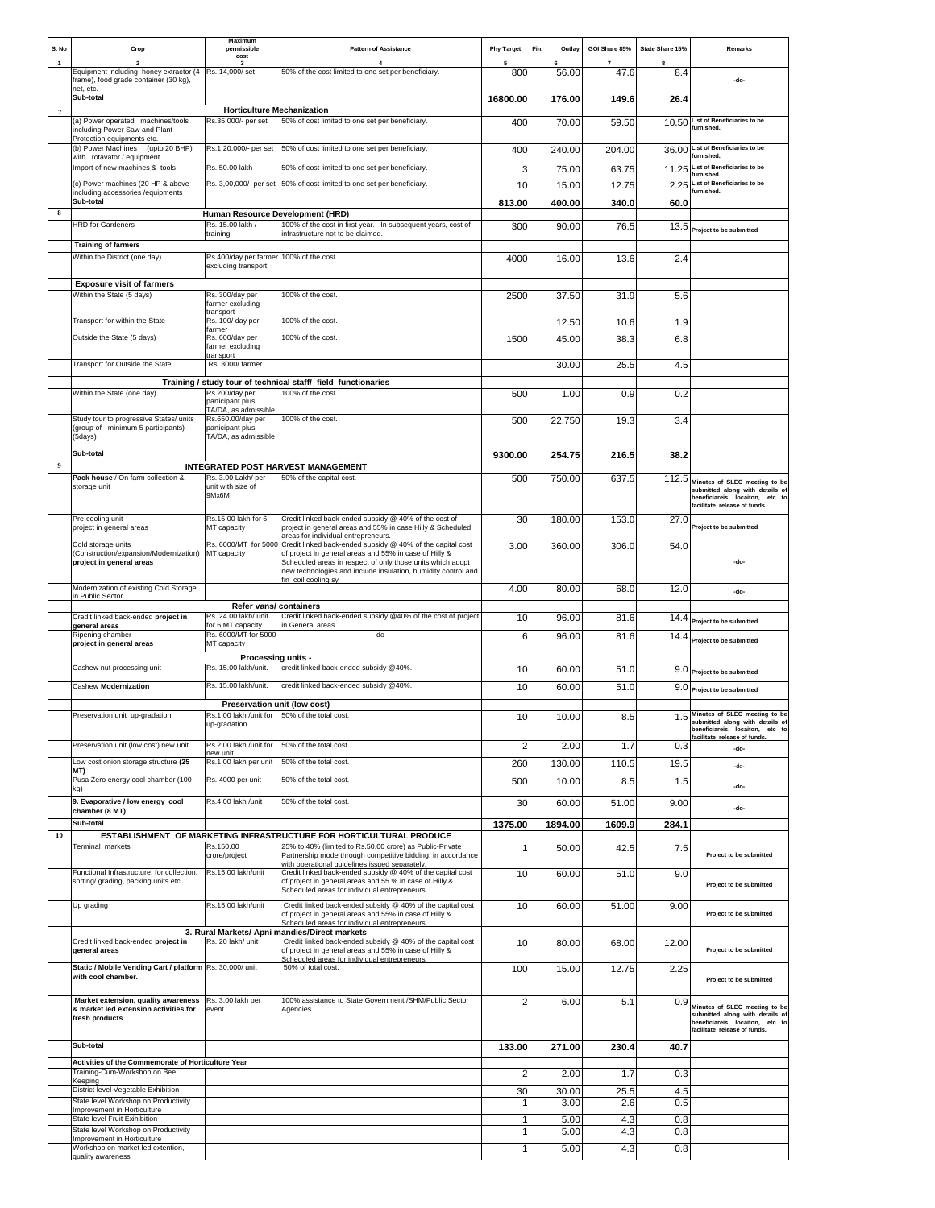| S. No               | Crop                                                                                           | Maximum<br>permissible<br>cost                                | <b>Pattern of Assistance</b>                                                                                                                                                                                                                        | <b>Phy Target</b>  | Fin.<br>Outlay | GOI Share 85% | State Share 15% | Remarks                                                                                                                                   |
|---------------------|------------------------------------------------------------------------------------------------|---------------------------------------------------------------|-----------------------------------------------------------------------------------------------------------------------------------------------------------------------------------------------------------------------------------------------------|--------------------|----------------|---------------|-----------------|-------------------------------------------------------------------------------------------------------------------------------------------|
| $\overline{1}$      | Equipment including honey extractor (4                                                         | Rs. 14,000/ set                                               | $\mathbf{A}$<br>50% of the cost limited to one set per beneficiary.                                                                                                                                                                                 | 800                | 56.00          | 47.6          | 8<br>8.4        |                                                                                                                                           |
|                     | frame), food grade container (30 kg),<br>net, etc.<br>Sub-total                                |                                                               |                                                                                                                                                                                                                                                     | 16800.00           | 176.00         | 149.6         | 26.4            | -do-                                                                                                                                      |
| $\scriptstyle\rm 7$ | (a) Power operated machines/tools<br>including Power Saw and Plant                             | <b>Horticulture Mechanization</b><br>Rs.35,000/- per set      | 50% of cost limited to one set per beneficiary.                                                                                                                                                                                                     | 400                | 70.00          | 59.50         |                 | 10.50 List of Beneficiaries to be<br>furnished.                                                                                           |
|                     | Protection equipments etc.<br>(b) Power Machines (upto 20 BHP)<br>with rotavator / equipment   | Rs.1,20,000/- per set                                         | 50% of cost limited to one set per beneficiary.                                                                                                                                                                                                     | 400                | 240.00         | 204.00        |                 | 36.00 List of Beneficiaries to be<br>furnished.                                                                                           |
|                     | Import of new machines & tools                                                                 | Rs. 50.00 lakh                                                | 50% of cost limited to one set per beneficiary.                                                                                                                                                                                                     | 3                  | 75.00          | 63.75         |                 | 11.25 List of Beneficiaries to be<br>furnished.                                                                                           |
|                     | (c) Power machines (20 HP & above<br>including accessories /equipments<br>Sub-total            |                                                               | Rs. 3,00,000/- per set 50% of cost limited to one set per beneficiary.                                                                                                                                                                              | 10                 | 15.00          | 12.75         |                 | 2.25 List of Beneficiaries to be<br>furnished.                                                                                            |
| 8                   |                                                                                                | Human Resource Development (HRD)                              |                                                                                                                                                                                                                                                     | 813.00             | 400.00         | 340.0         | 60.0            |                                                                                                                                           |
|                     | <b>HRD</b> for Gardeners                                                                       | Rs. 15.00 lakh /<br>training                                  | 100% of the cost in first year. In subsequent years, cost of<br>infrastructure not to be claimed.                                                                                                                                                   | 300                | 90.00          | 76.5          |                 | 13.5 Project to be submitted                                                                                                              |
|                     | <b>Training of farmers</b><br>Within the District (one day)                                    | Rs.400/day per farmer 100% of the cost.                       |                                                                                                                                                                                                                                                     | 4000               | 16.00          | 13.6          | 2.4             |                                                                                                                                           |
|                     |                                                                                                | excluding transport                                           |                                                                                                                                                                                                                                                     |                    |                |               |                 |                                                                                                                                           |
|                     | <b>Exposure visit of farmers</b><br>Within the State (5 days)                                  | Rs. 300/day per                                               | 100% of the cost.                                                                                                                                                                                                                                   | 2500               | 37.50          | 31.9          | 5.6             |                                                                                                                                           |
|                     |                                                                                                | farmer excluding<br>transport                                 |                                                                                                                                                                                                                                                     |                    |                |               |                 |                                                                                                                                           |
|                     | Transport for within the State<br>Outside the State (5 days)                                   | Rs. 100/ day per<br>farmer<br>Rs. 600/day per                 | 100% of the cost.<br>100% of the cost.                                                                                                                                                                                                              | 1500               | 12.50<br>45.00 | 10.6<br>38.3  | 1.9<br>6.8      |                                                                                                                                           |
|                     |                                                                                                | farmer excluding<br>transport                                 |                                                                                                                                                                                                                                                     |                    |                |               |                 |                                                                                                                                           |
|                     | Transport for Outside the State                                                                | Rs. 3000/ farmer                                              |                                                                                                                                                                                                                                                     |                    | 30.00          | 25.5          | 4.5             |                                                                                                                                           |
|                     | Within the State (one day)                                                                     | Rs.200/day per                                                | Training / study tour of technical staff/ field functionaries<br>100% of the cost.                                                                                                                                                                  | 500                | 1.00           | 0.9           | 0.2             |                                                                                                                                           |
|                     |                                                                                                | participant plus<br>TA/DA, as admissible                      |                                                                                                                                                                                                                                                     |                    |                |               |                 |                                                                                                                                           |
|                     | Study tour to progressive States/ units<br>(group of minimum 5 participants)                   | Rs.650.00/day per<br>participant plus                         | 100% of the cost.                                                                                                                                                                                                                                   | 500                | 22.750         | 19.3          | 3.4             |                                                                                                                                           |
|                     | (5days)                                                                                        | TA/DA, as admissible                                          |                                                                                                                                                                                                                                                     |                    |                |               |                 |                                                                                                                                           |
| $\boldsymbol{9}$    | Sub-total                                                                                      |                                                               | INTEGRATED POST HARVEST MANAGEMENT                                                                                                                                                                                                                  | 9300.00            | 254.75         | 216.5         | 38.2            |                                                                                                                                           |
|                     | Pack house / On farm collection &<br>storage unit                                              | Rs. 3.00 Lakh/ per<br>unit with size of<br>9Mx6M              | 50% of the capital cost.                                                                                                                                                                                                                            | 500                | 750.00         | 637.5         |                 | 112.5 Minutes of SLEC meeting to be<br>submitted along with details of<br>beneficiareis, locaiton, etc to<br>facilitate release of funds. |
|                     | Pre-cooling unit<br>project in general areas                                                   | Rs.15.00 lakh for 6<br>MT capacity                            | Credit linked back-ended subsidy @ 40% of the cost of<br>project in general areas and 55% in case Hilly & Scheduled<br>areas for individual entrepreneurs.                                                                                          | 30                 | 180.00         | 153.0         | 27.0            | Project to be submitted                                                                                                                   |
|                     | Cold storage units<br>(Construction/expansion/Modernization)<br>project in general areas       | Rs. 6000/MT for 5000<br>MT capacity                           | Credit linked back-ended subsidy @ 40% of the capital cost<br>of project in general areas and 55% in case of Hilly &<br>Scheduled areas in respect of only those units which adopt<br>new technologies and include insulation, humidity control and | 3.00               | 360.00         | 306.0         | 54.0            | -do-                                                                                                                                      |
|                     | Modernization of existing Cold Storage<br>in Public Sector                                     |                                                               | fin coil cooling sy                                                                                                                                                                                                                                 | 4.00               | 80.00          | 68.0          | 12.0            | -do-                                                                                                                                      |
|                     | Credit linked back-ended project in                                                            | Refer vans/ containers<br>Rs. 24.00 lakh/ unit                | Credit linked back-ended subsidy @40% of the cost of project                                                                                                                                                                                        |                    |                |               |                 |                                                                                                                                           |
|                     | general areas                                                                                  | for 6 MT capacity<br>Rs. 6000/MT for 5000                     | in General areas.<br>-do-                                                                                                                                                                                                                           | 10                 | 96.00          | 81.6          |                 | 14.4 Project to be submitted                                                                                                              |
|                     | Ripening chamber<br>project in general areas                                                   | MT capacity                                                   |                                                                                                                                                                                                                                                     | 6                  | 96.00          | 81.6          | 14.4            | Project to be submitted                                                                                                                   |
|                     | Cashew nut processing unit                                                                     | Processing units -<br>Rs. 15.00 lakh/unit.                    | credit linked back-ended subsidy @40%.                                                                                                                                                                                                              | 10                 | 60.00          | 51.0          |                 | 9.0 Project to be submitted                                                                                                               |
|                     | Cashew Modernization                                                                           | Rs. 15.00 lakh/unit.                                          | credit linked back-ended subsidy @40%.                                                                                                                                                                                                              | 10                 | 60.00          | 51.0          |                 | $9.0$ Project to be submitted                                                                                                             |
|                     |                                                                                                | Preservation unit (low cost)                                  |                                                                                                                                                                                                                                                     |                    |                |               |                 |                                                                                                                                           |
|                     | Preservation unit up-gradation                                                                 | Rs.1.00 lakh /unit for 50% of the total cost.<br>up-gradation |                                                                                                                                                                                                                                                     | 10                 | 10.00          | 8.5           |                 | 1.5 Minutes of SLEC meeting to be<br>submitted along with details of<br>beneficiareis, locaiton, etc to<br>facilitate release of funds.   |
|                     | Preservation unit (low cost) new unit                                                          | Rs.2.00 lakh /unit for<br>new unit.                           | 50% of the total cost.                                                                                                                                                                                                                              | $\overline{2}$     | 2.00           | 1.7           | 0.3             | -do-                                                                                                                                      |
|                     | Low cost onion storage structure (25<br>MT)                                                    | Rs.1.00 lakh per unit                                         | 50% of the total cost.                                                                                                                                                                                                                              | 260                | 130.00         | 110.5         | 19.5            | -do-                                                                                                                                      |
|                     | Pusa Zero energy cool chamber (100<br>kg)                                                      | Rs. 4000 per unit                                             | 50% of the total cost.                                                                                                                                                                                                                              | 500                | 10.00          | 8.5           | 1.5             | -do-                                                                                                                                      |
|                     | 9. Evaporative / low energy cool<br>chamber (8 MT)                                             | Rs.4.00 lakh /unit                                            | 50% of the total cost.                                                                                                                                                                                                                              | 30                 | 60.00          | 51.00         | 9.00            | -do-                                                                                                                                      |
| 10                  | Sub-total                                                                                      |                                                               | ESTABLISHMENT OF MARKETING INFRASTRUCTURE FOR HORTICULTURAL PRODUCE                                                                                                                                                                                 | 1375.00            | 1894.00        | 1609.9        | 284.1           |                                                                                                                                           |
|                     | Terminal markets                                                                               | Rs.150.00<br>crore/project                                    | 25% to 40% (limited to Rs.50.00 crore) as Public-Private<br>Partnership mode through competitive bidding, in accordance<br>with operational quidelines issued separately.                                                                           | $\mathbf{1}$       | 50.00          | 42.5          | 7.5             | Project to be submitted                                                                                                                   |
|                     | Functional Infrastructure: for collection,<br>sorting/ grading, packing units etc              | Rs.15.00 lakh/unit                                            | Credit linked back-ended subsidy @ 40% of the capital cost<br>of project in general areas and 55 % in case of Hilly &<br>Scheduled areas for individual entrepreneurs.                                                                              | 10                 | 60.00          | 51.0          | 9.0             | Project to be submitted                                                                                                                   |
|                     | Up grading                                                                                     | Rs.15.00 lakh/unit                                            | Credit linked back-ended subsidy @ 40% of the capital cost<br>of project in general areas and 55% in case of Hilly &<br>Scheduled areas for individual entrepreneurs.                                                                               | 10                 | 60.00          | 51.00         | 9.00            | Project to be submitted                                                                                                                   |
|                     | Credit linked back-ended project in<br>general areas                                           | Rs. 20 lakh/ unit                                             | 3. Rural Markets/ Apni mandies/Direct markets<br>Credit linked back-ended subsidy @ 40% of the capital cost<br>of project in general areas and 55% in case of Hilly &<br>Scheduled areas for individual entrepreneurs.                              | 10                 | 80.00          | 68.00         | 12.00           | Project to be submitted                                                                                                                   |
|                     | Static / Mobile Vending Cart / platform Rs. 30,000/ unit<br>with cool chamber.                 |                                                               | 50% of total cost.                                                                                                                                                                                                                                  | 100                | 15.00          | 12.75         | 2.25            | Project to be submitted                                                                                                                   |
|                     | Market extension, quality awareness<br>& market led extension activities for<br>fresh products | Rs. 3.00 lakh per<br>event.                                   | 100% assistance to State Government /SHM/Public Sector<br>Agencies.                                                                                                                                                                                 | $\overline{2}$     | 6.00           | 5.1           | 0.9             | Minutes of SLEC meeting to be<br>submitted along with details of<br>beneficiareis, locaiton, etc to<br>facilitate release of funds.       |
|                     | Sub-total                                                                                      |                                                               |                                                                                                                                                                                                                                                     | 133.00             | 271.00         | 230.4         | 40.7            |                                                                                                                                           |
|                     | Activities of the Commemorate of Horticulture Year                                             |                                                               |                                                                                                                                                                                                                                                     |                    |                |               |                 |                                                                                                                                           |
|                     | Training-Cum-Workshop on Bee<br>Keeping<br>District level Vegetable Exhibition                 |                                                               |                                                                                                                                                                                                                                                     | $\overline{2}$     | 2.00           | 1.7           | 0.3             |                                                                                                                                           |
|                     | State level Workshop on Productivity                                                           |                                                               |                                                                                                                                                                                                                                                     | 30<br>$\mathbf{1}$ | 30.00<br>3.00  | 25.5<br>2.6   | 4.5<br>0.5      |                                                                                                                                           |
|                     | Improvement in Horticulture<br>State level Fruit Exihibition                                   |                                                               |                                                                                                                                                                                                                                                     | 1                  | 5.00           | 4.3           | 0.8             |                                                                                                                                           |
|                     | State level Workshop on Productivity<br>Improvement in Horticulture                            |                                                               |                                                                                                                                                                                                                                                     | $\mathbf{1}$       | 5.00           | 4.3           | 0.8             |                                                                                                                                           |
|                     | Workshop on market led extention,<br>quality awareness                                         |                                                               |                                                                                                                                                                                                                                                     | $\mathbf{1}$       | 5.00           | 4.3           | 0.8             |                                                                                                                                           |